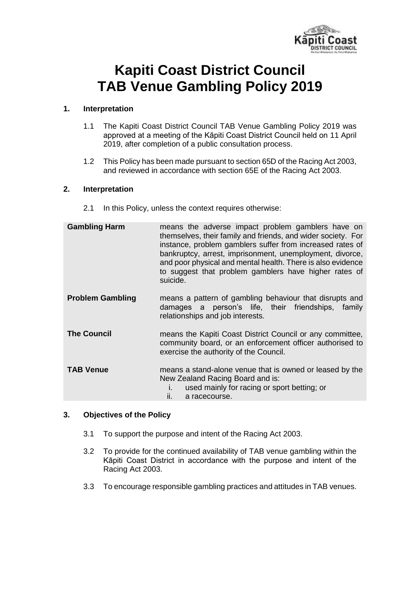

# **Kapiti Coast District Council TAB Venue Gambling Policy 2019**

## **1. Interpretation**

- 1.1 The Kapiti Coast District Council TAB Venue Gambling Policy 2019 was approved at a meeting of the Kāpiti Coast District Council held on 11 April 2019, after completion of a public consultation process.
- 1.2 This Policy has been made pursuant to section 65D of the Racing Act 2003, and reviewed in accordance with section 65E of the Racing Act 2003.

#### **2. Interpretation**

2.1 In this Policy, unless the context requires otherwise:

| <b>Gambling Harm</b>    | means the adverse impact problem gamblers have on<br>themselves, their family and friends, and wider society. For<br>instance, problem gamblers suffer from increased rates of<br>bankruptcy, arrest, imprisonment, unemployment, divorce,<br>and poor physical and mental health. There is also evidence<br>to suggest that problem gamblers have higher rates of<br>suicide. |
|-------------------------|--------------------------------------------------------------------------------------------------------------------------------------------------------------------------------------------------------------------------------------------------------------------------------------------------------------------------------------------------------------------------------|
| <b>Problem Gambling</b> | means a pattern of gambling behaviour that disrupts and<br>damages a person's life, their friendships, family<br>relationships and job interests.                                                                                                                                                                                                                              |
| <b>The Council</b>      | means the Kapiti Coast District Council or any committee,<br>community board, or an enforcement officer authorised to<br>exercise the authority of the Council.                                                                                                                                                                                                                |
| <b>TAB Venue</b>        | means a stand-alone venue that is owned or leased by the<br>New Zealand Racing Board and is:<br>used mainly for racing or sport betting; or<br>ii.<br>a racecourse.                                                                                                                                                                                                            |

#### **3. Objectives of the Policy**

- 3.1 To support the purpose and intent of the Racing Act 2003.
- 3.2 To provide for the continued availability of TAB venue gambling within the Kāpiti Coast District in accordance with the purpose and intent of the Racing Act 2003.
- 3.3 To encourage responsible gambling practices and attitudes in TAB venues.